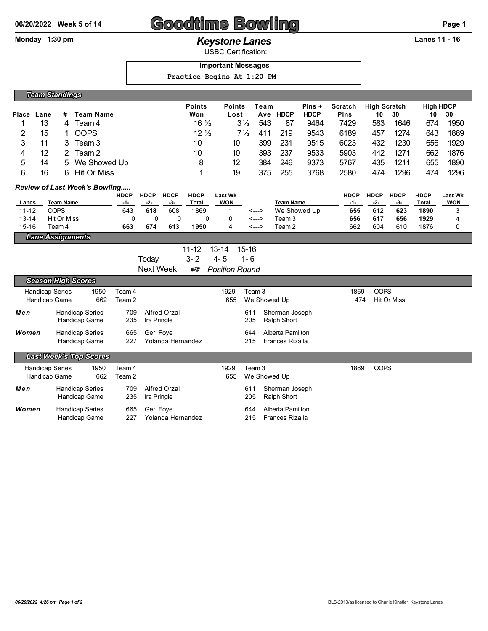# **06/20/2022 Week 5 of 14 Goodtime Bowling Page 1**

## Monday 1:30 pm *Keystone Lanes* **Lanes 11 - 16**

USBC Certification:

### **Important Messages**

 **Practice Begins At 1:20 PM**

|       | <b>Team Standings</b> |    |                |                 |                |      |             |             |             |                     |      |                  |      |
|-------|-----------------------|----|----------------|-----------------|----------------|------|-------------|-------------|-------------|---------------------|------|------------------|------|
|       |                       |    |                | <b>Points</b>   | <b>Points</b>  | Геаm |             | Pins +      | Scratch     | <b>High Scratch</b> |      | <b>High HDCP</b> |      |
| Place | Lane                  | #  | Team Name      | Won             | Lost           | Ave  | <b>HDCP</b> | <b>HDCP</b> | <b>Pins</b> | 10                  | 30   | 10               | 30   |
|       | 13                    | 4  | Team 4         | $16\frac{1}{2}$ | $3\frac{1}{2}$ | 543  | 87          | 9464        | 7429        | 583                 | 1646 | 674              | 1950 |
| 2     | 15                    |    | <b>OOPS</b>    | $12\frac{1}{2}$ | $7\frac{1}{2}$ | 411  | 219         | 9543        | 6189        | 457                 | 1274 | 643              | 1869 |
| 3     |                       |    | Team 3         | 10              | 10             | 399  | 231         | 9515        | 6023        | 432                 | 1230 | 656              | 1929 |
| 4     | 12                    |    | Team 2         | 10              | 10             | 393  | 237         | 9533        | 5903        | 442                 | 1271 | 662              | 1876 |
| 5     | 14                    |    | 5 We Showed Up | 8               | 12             | 384  | 246         | 9373        | 5767        | 435                 | 1211 | 655              | 1890 |
| 6     | 16                    | 6. | Hit Or Miss    |                 | 19             | 375  | 255         | 3768        | 2580        | 474                 | 1296 | 474              | 1296 |

### *Review of Last Week's Bowling.....*

|           |             | HDCP | <b>HDCP</b> | <b>HDCP</b> | <b>HDCP</b> | Last Wk    |       |                  | <b>HDCP</b> | <b>HDCP</b> | <b>HDCP</b> | <b>HDCP</b> | <b>Last Wk</b> |
|-----------|-------------|------|-------------|-------------|-------------|------------|-------|------------------|-------------|-------------|-------------|-------------|----------------|
| Lanes     | Team Name   | -1-  | -2-         | -3-         | Total       | <b>WON</b> |       | <b>Team Name</b> | -1-         | -2-         | - 3-        | Total       | <b>WON</b>     |
| $11 - 12$ | <b>COPS</b> | 643  | 618         | 608         | 1869        |            | <---> | We Showed Up     | 655         | 612         | 623         | 1890        |                |
| 13-14     | Hit Or Miss |      |             |             |             |            | <---> | Team 3           | 656         | 617         | 656         | 1929        |                |
| $15 - 16$ | Team 4      | 663  | 674         | 613         | 1950        |            | <---> | Team 2           | 662         | 604         | 610         | 1876        |                |
| -         |             |      |             |             |             |            |       |                  |             |             |             |             |                |

*Lane Assignments*

|           |         | 11-12 13-14             | 15-16 |
|-----------|---------|-------------------------|-------|
| Today     | $3 - 2$ | 4-5                     | 1- 6  |
| Next Week |         | <b>☞ Position Round</b> |       |

|                        | <b>Season High Scores</b>               |      |            |                                |      |              |                                            |      |             |
|------------------------|-----------------------------------------|------|------------|--------------------------------|------|--------------|--------------------------------------------|------|-------------|
| <b>Handicap Series</b> |                                         | 1950 | Team 4     |                                | 1929 | Team 3       |                                            | 1869 | <b>OOPS</b> |
| Handicap Game<br>662   |                                         |      | Team 2     |                                | 655  | We Showed Up |                                            | 474  | Hit Or Miss |
| Men                    | <b>Handicap Series</b><br>Handicap Game |      | 709<br>235 | Alfred Orzal<br>Ira Pringle    |      | 611<br>205   | Sherman Joseph<br>Ralph Short              |      |             |
| Women                  | <b>Handicap Series</b><br>Handicap Game |      | 665<br>227 | Geri Fove<br>Yolanda Hernandez |      | 644<br>215   | Alberta Pamilton<br><b>Frances Rizalla</b> |      |             |

*Last Week's Top Scores*

| <b>Handicap Series</b><br>Handicap Game |                                         | 1950<br>662 | Team 4<br>Team 2 |                                 | 1929 | Team 3<br>655 We Showed Up |                                     | 1869 | <b>OOPS</b> |
|-----------------------------------------|-----------------------------------------|-------------|------------------|---------------------------------|------|----------------------------|-------------------------------------|------|-------------|
| Men                                     | <b>Handicap Series</b><br>Handicap Game |             | 709              | Alfred Orzal<br>235 Ira Pringle |      | 611<br>205                 | Sherman Joseph<br>Ralph Short       |      |             |
| Women                                   | <b>Handicap Series</b><br>Handicap Game |             | 665<br>227       | Geri Fove<br>Yolanda Hernandez  |      | 644<br>215                 | Alberta Pamilton<br>Frances Rizalla |      |             |